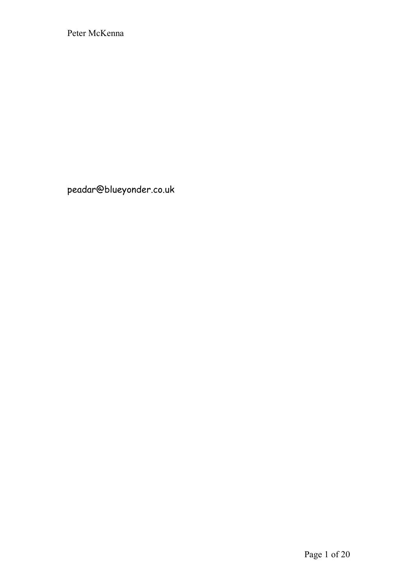peadar@blueyonder.co.uk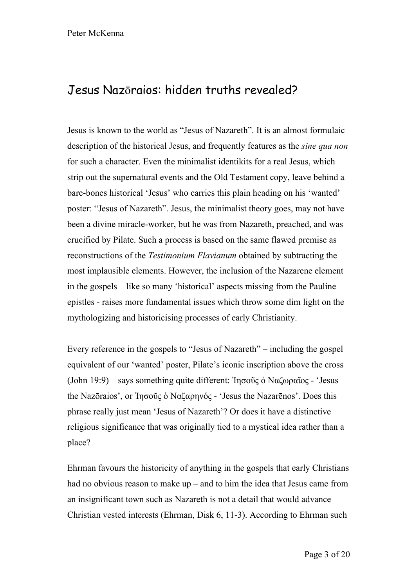# Jesus Nazōraios: hidden truths revealed?

Jesus is known to the world as "Jesus of Nazareth". It is an almost formulaic description of the historical Jesus, and frequently features as the *sine qua non* for such a character. Even the minimalist identikits for a real Jesus, which strip out the supernatural events and the Old Testament copy, leave behind a bare-bones historical 'Jesus' who carries this plain heading on his 'wanted' poster: "Jesus of Nazareth". Jesus, the minimalist theory goes, may not have been a divine miracle-worker, but he was from Nazareth, preached, and was crucified by Pilate. Such a process is based on the same flawed premise as reconstructions of the *Testimonium Flavianum* obtained by subtracting the most implausible elements. However, the inclusion of the Nazarene element in the gospels – like so many 'historical' aspects missing from the Pauline epistles - raises more fundamental issues which throw some dim light on the mythologizing and historicising processes of early Christianity.

Every reference in the gospels to "Jesus of Nazareth" – including the gospel equivalent of our 'wanted' poster, Pilate's iconic inscription above the cross (John 19:9) – says something quite different: Ἰησοῦς ὁ Ναζωραῖος - 'Jesus the Nazōraios', or Ἰησοῦς ὁ Ναζαρηνός - 'Jesus the Nazarēnos'. Does this phrase really just mean 'Jesus of Nazareth'? Or does it have a distinctive religious significance that was originally tied to a mystical idea rather than a place?

Ehrman favours the historicity of anything in the gospels that early Christians had no obvious reason to make up – and to him the idea that Jesus came from an insignificant town such as Nazareth is not a detail that would advance Christian vested interests (Ehrman, Disk 6, 11-3). According to Ehrman such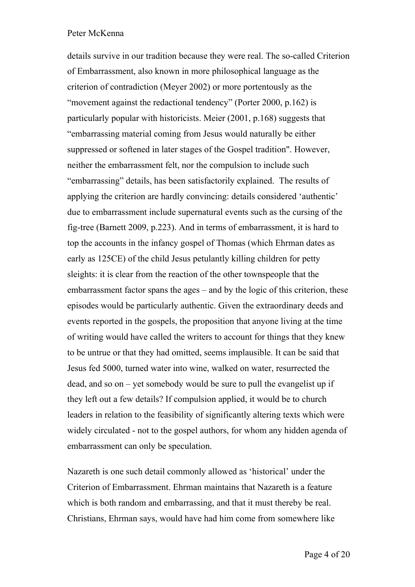details survive in our tradition because they were real. The so-called Criterion of Embarrassment, also known in more philosophical language as the criterion of contradiction (Meyer 2002) or more portentously as the "movement against the redactional tendency" (Porter 2000, p.162) is particularly popular with historicists. Meier (2001, p.168) suggests that "embarrassing material coming from Jesus would naturally be either suppressed or softened in later stages of the Gospel tradition". However, neither the embarrassment felt, nor the compulsion to include such "embarrassing" details, has been satisfactorily explained. The results of applying the criterion are hardly convincing: details considered 'authentic' due to embarrassment include supernatural events such as the cursing of the fig-tree (Barnett 2009, p.223). And in terms of embarrassment, it is hard to top the accounts in the infancy gospel of Thomas (which Ehrman dates as early as 125CE) of the child Jesus petulantly killing children for petty sleights: it is clear from the reaction of the other townspeople that the embarrassment factor spans the ages – and by the logic of this criterion, these episodes would be particularly authentic. Given the extraordinary deeds and events reported in the gospels, the proposition that anyone living at the time of writing would have called the writers to account for things that they knew to be untrue or that they had omitted, seems implausible. It can be said that Jesus fed 5000, turned water into wine, walked on water, resurrected the dead, and so on – yet somebody would be sure to pull the evangelist up if they left out a few details? If compulsion applied, it would be to church leaders in relation to the feasibility of significantly altering texts which were widely circulated - not to the gospel authors, for whom any hidden agenda of embarrassment can only be speculation.

Nazareth is one such detail commonly allowed as 'historical' under the Criterion of Embarrassment. Ehrman maintains that Nazareth is a feature which is both random and embarrassing, and that it must thereby be real. Christians, Ehrman says, would have had him come from somewhere like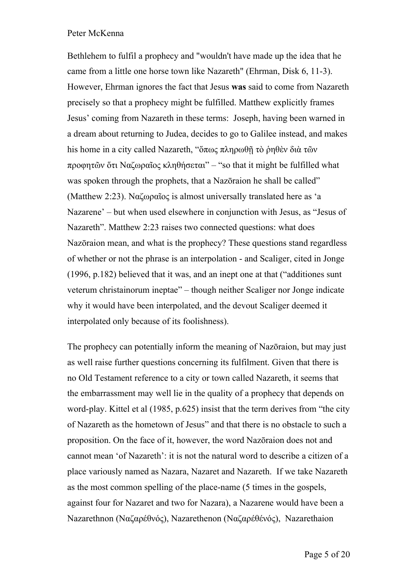Bethlehem to fulfil a prophecy and "wouldn't have made up the idea that he came from a little one horse town like Nazareth" (Ehrman, Disk 6, 11-3). However, Ehrman ignores the fact that Jesus **was** said to come from Nazareth precisely so that a prophecy might be fulfilled. Matthew explicitly frames Jesus' coming from Nazareth in these terms: Joseph, having been warned in a dream about returning to Judea, decides to go to Galilee instead, and makes his home in a city called Nazareth, "ὅπως πληρωθῆ τὸ ῥηθὲν διὰ τῶν προφητῶν ὅτι Ναζωραῖος κληθήσεται" – "so that it might be fulfilled what was spoken through the prophets, that a Nazōraion he shall be called" (Matthew 2:23). Ναζωραῖος is almost universally translated here as 'a Nazarene' – but when used elsewhere in conjunction with Jesus, as "Jesus of Nazareth". Matthew 2:23 raises two connected questions: what does Nazōraion mean, and what is the prophecy? These questions stand regardless of whether or not the phrase is an interpolation - and Scaliger, cited in Jonge (1996, p.182) believed that it was, and an inept one at that ("additiones sunt veterum christainorum ineptae" – though neither Scaliger nor Jonge indicate why it would have been interpolated, and the devout Scaliger deemed it interpolated only because of its foolishness).

The prophecy can potentially inform the meaning of Nazōraion, but may just as well raise further questions concerning its fulfilment. Given that there is no Old Testament reference to a city or town called Nazareth, it seems that the embarrassment may well lie in the quality of a prophecy that depends on word-play. Kittel et al (1985, p.625) insist that the term derives from "the city of Nazareth as the hometown of Jesus" and that there is no obstacle to such a proposition. On the face of it, however, the word Nazōraion does not and cannot mean 'of Nazareth': it is not the natural word to describe a citizen of a place variously named as Nazara, Nazaret and Nazareth. If we take Nazareth as the most common spelling of the place-name (5 times in the gospels, against four for Nazaret and two for Nazara), a Nazarene would have been a Nazarethnon (Ναζαρέθνός), Nazarethenon (Ναζαρέθένός), Nazarethaion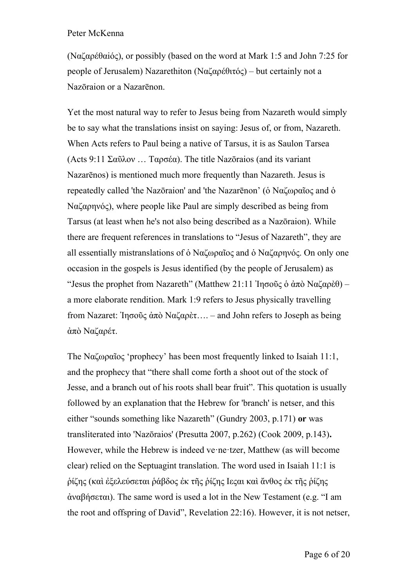(Ναζαρέθαiός), or possibly (based on the word at Mark 1:5 and John 7:25 for people of Jerusalem) Nazarethiton (Ναζαρέθιτός) – but certainly not a Nazōraion or a Nazarēnon.

Yet the most natural way to refer to Jesus being from Nazareth would simply be to say what the translations insist on saying: Jesus of, or from, Nazareth. When Acts refers to Paul being a native of Tarsus, it is as Saulon Tarsea (Acts 9:11 Σαῦλον … Ταρσέα). The title Nazōraios (and its variant Nazarēnos) is mentioned much more frequently than Nazareth. Jesus is repeatedly called 'the Nazōraion' and 'the Nazarēnon' (ὁ Ναζωραῖος and ὁ Ναζαρηνός), where people like Paul are simply described as being from Tarsus (at least when he's not also being described as a Nazōraion). While there are frequent references in translations to "Jesus of Nazareth", they are all essentially mistranslations of ὁ Ναζωραῖος and ὁ Ναζαρηνός. On only one occasion in the gospels is Jesus identified (by the people of Jerusalem) as "Jesus the prophet from Nazareth" (Matthew 21:11 Ἰησοῦς ὁ ἀπὸ Ναζαρὲθ) – a more elaborate rendition. Mark 1:9 refers to Jesus physically travelling from Nazaret: Ἰησοῦς ἀπὸ Ναζαρὲτ…. – and John refers to Joseph as being ἀπὸ Ναζαρέτ.

The Ναζωραῖος 'prophecy' has been most frequently linked to Isaiah 11:1, and the prophecy that "there shall come forth a shoot out of the stock of Jesse, and a branch out of his roots shall bear fruit". This quotation is usually followed by an explanation that the Hebrew for 'branch' is netser, and this either "sounds something like Nazareth" (Gundry 2003, p.171) **or** was transliterated into 'Nazōraios' (Presutta 2007, p.262) (Cook 2009, p.143)**.** However, while the Hebrew is indeed ve·ne·tzer, Matthew (as will become clear) relied on the Septuagint translation. The word used in Isaiah 11:1 is ῥίζης (καὶ ἐξελεύσεται ῥάβδος ἐκ τῆς ῥίζης Iεςαι καὶ ἄνθος ἐκ τῆς ῥίζης ἀναβήσεται). The same word is used a lot in the New Testament (e.g. "I am the root and offspring of David", Revelation 22:16). However, it is not netser,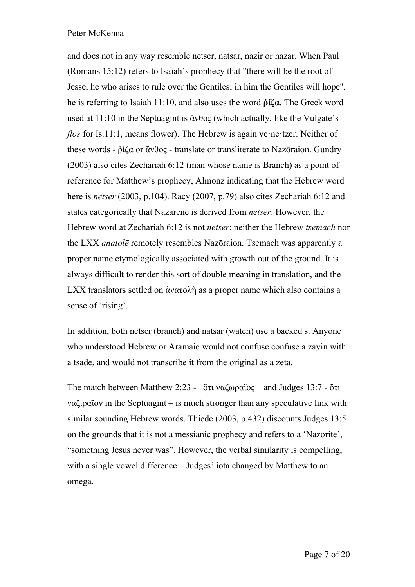and does not in any way resemble netser, natsar, nazir or nazar. When Paul (Romans 15:12) refers to Isaiah's prophecy that "there will be the root of Jesse, he who arises to rule over the Gentiles; in him the Gentiles will hope", he is referring to Isaiah 11:10, and also uses the word **ῥίζα.** The Greek word used at 11:10 in the Septuagint is ἄνθος (which actually, like the Vulgate's *flos* for Is.11:1, means flower). The Hebrew is again ve·ne·tzer. Neither of these words - ῥίζα or ἄνθος - translate or transliterate to Nazōraion. Gundry (2003) also cites Zechariah 6:12 (man whose name is Branch) as a point of reference for Matthew's prophecy, Almonz indicating that the Hebrew word here is *netser* (2003, p.104). Racy (2007, p.79) also cites Zechariah 6:12 and states categorically that Nazarene is derived from *netser*. However, the Hebrew word at Zechariah 6:12 is not *netser*: neither the Hebrew *tsemach* nor the LXX *anatolē* remotely resembles Nazōraion. Tsemach was apparently a proper name etymologically associated with growth out of the ground. It is always difficult to render this sort of double meaning in translation, and the LXX translators settled on ἀνατολὴ as a proper name which also contains a sense of 'rising'.

In addition, both netser (branch) and natsar (watch) use a backed s. Anyone who understood Hebrew or Aramaic would not confuse confuse a zayin with a tsade, and would not transcribe it from the original as a zeta.

The match between Matthew 2:23 -  $\ddot{\text{o}}$ τι ναζωραῖος – and Judges 13:7 - ὅτι ναζιραῖον in the Septuagint – is much stronger than any speculative link with similar sounding Hebrew words. Thiede (2003, p.432) discounts Judges 13:5 on the grounds that it is not a messianic prophecy and refers to a 'Nazorite', "something Jesus never was". However, the verbal similarity is compelling, with a single vowel difference – Judges' iota changed by Matthew to an omega.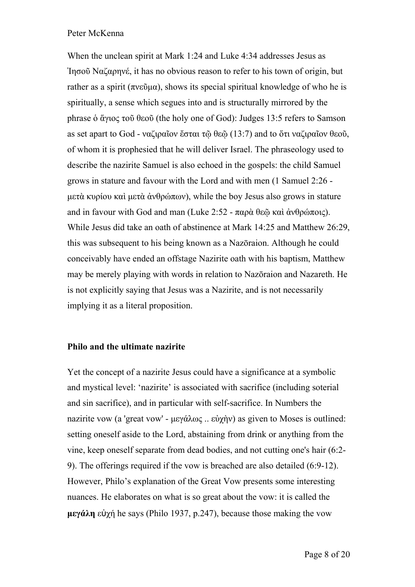When the unclean spirit at Mark 1:24 and Luke 4:34 addresses Jesus as Ἰησοῦ Ναζαρηνέ, it has no obvious reason to refer to his town of origin, but rather as a spirit (πνεῦμα), shows its special spiritual knowledge of who he is spiritually, a sense which segues into and is structurally mirrored by the phrase ὁ ἅγιος τοῦ θεοῦ (the holy one of God): Judges 13:5 refers to Samson as set apart to God - ναζιραῖον ἔσται τῷ θεῷ (13:7) and to ὅτι ναζιραῖον θεοῦ, of whom it is prophesied that he will deliver Israel. The phraseology used to describe the nazirite Samuel is also echoed in the gospels: the child Samuel grows in stature and favour with the Lord and with men (1 Samuel 2:26 μετὰ κυρίου καὶ μετὰ ἀνθρώπων), while the boy Jesus also grows in stature and in favour with God and man (Luke 2:52 - παρὰ θεῶ καὶ ἀνθρώποις). While Jesus did take an oath of abstinence at Mark 14:25 and Matthew 26:29, this was subsequent to his being known as a Nazōraion. Although he could conceivably have ended an offstage Nazirite oath with his baptism, Matthew may be merely playing with words in relation to Nazōraion and Nazareth. He is not explicitly saying that Jesus was a Nazirite, and is not necessarily implying it as a literal proposition.

## **Philo and the ultimate nazirite**

Yet the concept of a nazirite Jesus could have a significance at a symbolic and mystical level: 'nazirite' is associated with sacrifice (including soterial and sin sacrifice), and in particular with self-sacrifice. In Numbers the nazirite vow (a 'great vow' - μεγάλως .. εὐχὴν) as given to Moses is outlined: setting oneself aside to the Lord, abstaining from drink or anything from the vine, keep oneself separate from dead bodies, and not cutting one's hair (6:2- 9). The offerings required if the vow is breached are also detailed (6:9-12). However, Philo's explanation of the Great Vow presents some interesting nuances. He elaborates on what is so great about the vow: it is called the **μεγάλη** εὐχή he says (Philo 1937, p.247), because those making the vow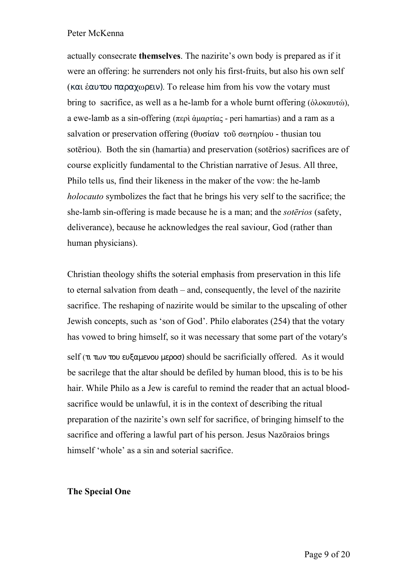actually consecrate **themselves**. The nazirite's own body is prepared as if it were an offering: he surrenders not only his first-fruits, but also his own self (και ἑαυτου παραχωρειν). To release him from his vow the votary must bring to sacrifice, as well as a he-lamb for a whole burnt offering (ὁλοκαυτώ), a ewe-lamb as a sin-offering (περὶ ἁμαρτίας - peri hamartias) and a ram as a salvation or preservation offering (θυσίαν τοῦ σωτηρίου - thusian tou sotēriou). Both the sin (hamartia) and preservation (sotērios) sacrifices are of course explicitly fundamental to the Christian narrative of Jesus. All three, Philo tells us, find their likeness in the maker of the vow: the he-lamb *holocauto* symbolizes the fact that he brings his very self to the sacrifice; the she-lamb sin-offering is made because he is a man; and the *sotērios* (safety, deliverance), because he acknowledges the real saviour, God (rather than human physicians).

Christian theology shifts the soterial emphasis from preservation in this life to eternal salvation from death – and, consequently, the level of the nazirite sacrifice. The reshaping of nazirite would be similar to the upscaling of other Jewish concepts, such as 'son of God'. Philo elaborates (254) that the votary has vowed to bring himself, so it was necessary that some part of the votary's self (τι των του ευξαμενου μεροσ) should be sacrificially offered. As it would be sacrilege that the altar should be defiled by human blood, this is to be his hair. While Philo as a Jew is careful to remind the reader that an actual bloodsacrifice would be unlawful, it is in the context of describing the ritual preparation of the nazirite's own self for sacrifice, of bringing himself to the sacrifice and offering a lawful part of his person. Jesus Nazōraios brings himself 'whole' as a sin and soterial sacrifice.

#### **The Special One**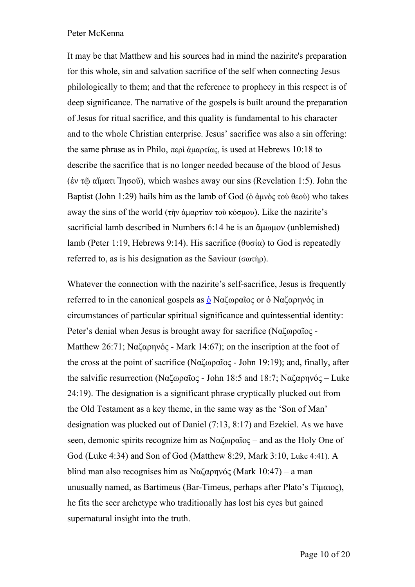It may be that Matthew and his sources had in mind the nazirite's preparation for this whole, sin and salvation sacrifice of the self when connecting Jesus philologically to them; and that the reference to prophecy in this respect is of deep significance. The narrative of the gospels is built around the preparation of Jesus for ritual sacrifice, and this quality is fundamental to his character and to the whole Christian enterprise. Jesus' sacrifice was also a sin offering: the same phrase as in Philo, περὶ ἁμαρτίας, is used at Hebrews 10:18 to describe the sacrifice that is no longer needed because of the blood of Jesus (ἐν τῷ αἵματι Ἰησοῦ), which washes away our sins (Revelation 1:5). John the Baptist (John 1:29) hails him as the lamb of God (δ άμνὸς τοὺ θεοὺ) who takes away the sins of the world (τὴν ἁμαρτίαν τοὺ κόσμου). Like the nazirite's sacrificial lamb described in Numbers 6:14 he is an ἄμωμον (unblemished) lamb (Peter 1:19, Hebrews 9:14). His sacrifice (θυσία) to God is repeatedly referred to, as is his designation as the Saviour (σωτήρ).

Whatever the connection with the nazirite's self-sacrifice, Jesus is frequently referred to in the canonical gospels as <u>ὁ</u> Ναζωραῖος or [ὁ](http://strongsnumbers.com/greek/3588.htm) Ναζαρηνός in circumstances of particular spiritual significance and quintessential identity: Peter's denial when Jesus is brought away for sacrifice (Ναζωραῖος - Matthew 26:71; Ναζαρηνός - Mark 14:67); on the inscription at the foot of the cross at the point of sacrifice (Ναζωραῖος - John 19:19); and, finally, after the salvific resurrection (Ναζωραῖος - John 18:5 and 18:7; Ναζαρηνός – Luke 24:19). The designation is a significant phrase cryptically plucked out from the Old Testament as a key theme, in the same way as the 'Son of Man' designation was plucked out of Daniel (7:13, 8:17) and Ezekiel. As we have seen, demonic spirits recognize him as Ναζωραῖος – and as the Holy One of God (Luke 4:34) and Son of God (Matthew 8:29, Mark 3:10, Luke 4:41). A blind man also recognises him as Ναζαρηνός (Mark 10:47) – a man unusually named, as Bartimeus (Bar-Timeus, perhaps after Plato's Τίμαιος), he fits the seer archetype who traditionally has lost his eyes but gained supernatural insight into the truth.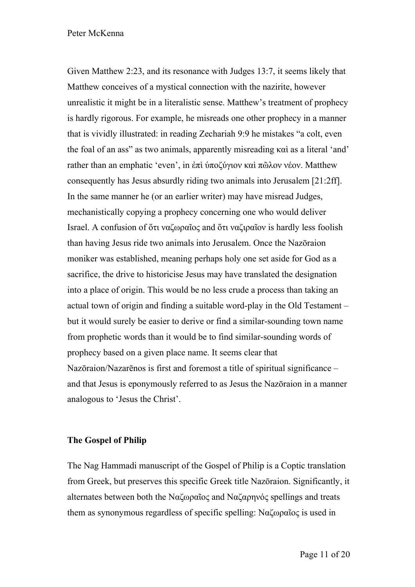Given Matthew 2:23, and its resonance with Judges 13:7, it seems likely that Matthew conceives of a mystical connection with the nazirite, however unrealistic it might be in a literalistic sense. Matthew's treatment of prophecy is hardly rigorous. For example, he misreads one other prophecy in a manner that is vividly illustrated: in reading Zechariah 9:9 he mistakes "a colt, even the foal of an ass" as two animals, apparently misreading καὶ as a literal 'and' rather than an emphatic 'even', in ἐπὶ ὑποζύγιον καὶ πῶλον νέον. Matthew consequently has Jesus absurdly riding two animals into Jerusalem [21:2ff]. In the same manner he (or an earlier writer) may have misread Judges, mechanistically copying a prophecy concerning one who would deliver Israel. A confusion of ὅτι ναζωραῖος and ὅτι ναζιραῖον is hardly less foolish than having Jesus ride two animals into Jerusalem. Once the Nazōraion moniker was established, meaning perhaps holy one set aside for God as a sacrifice, the drive to historicise Jesus may have translated the designation into a place of origin. This would be no less crude a process than taking an actual town of origin and finding a suitable word-play in the Old Testament – but it would surely be easier to derive or find a similar-sounding town name from prophetic words than it would be to find similar-sounding words of prophecy based on a given place name. It seems clear that Nazōraion/Nazarēnos is first and foremost a title of spiritual significance – and that Jesus is eponymously referred to as Jesus the Nazōraion in a manner analogous to 'Jesus the Christ'.

## **The Gospel of Philip**

The Nag Hammadi manuscript of the Gospel of Philip is a Coptic translation from Greek, but preserves this specific Greek title Nazōraion. Significantly, it alternates between both the Ναζωραῖος and Ναζαρηνός spellings and treats them as synonymous regardless of specific spelling: Ναζωραῖος is used in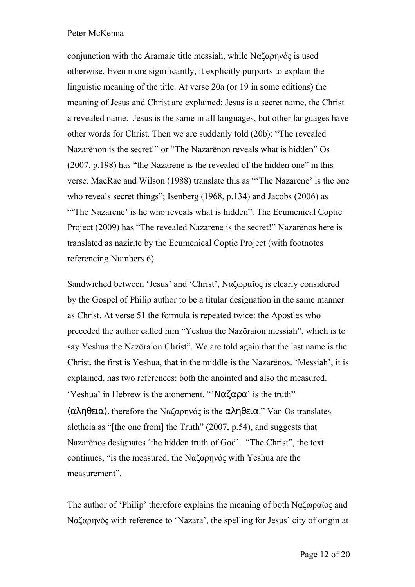conjunction with the Aramaic title messiah, while Ναζαρηνός is used otherwise. Even more significantly, it explicitly purports to explain the linguistic meaning of the title. At verse 20a (or 19 in some editions) the meaning of Jesus and Christ are explained: Jesus is a secret name, the Christ a revealed name. Jesus is the same in all languages, but other languages have other words for Christ. Then we are suddenly told (20b): "The revealed Nazarēnon is the secret!" or "The Nazarēnon reveals what is hidden" Os (2007, p.198) has "the Nazarene is the revealed of the hidden one" in this verse. MacRae and Wilson (1988) translate this as "'The Nazarene' is the one who reveals secret things"; Isenberg (1968, p.134) and Jacobs (2006) as "The Nazarene' is he who reveals what is hidden". The Ecumenical Coptic Project (2009) has "The revealed Nazarene is the secret!" Nazarēnos here is translated as nazirite by the Ecumenical Coptic Project (with footnotes referencing Numbers 6).

Sandwiched between 'Jesus' and 'Christ', Ναζωραῖος is clearly considered by the Gospel of Philip author to be a titular designation in the same manner as Christ. At verse 51 the formula is repeated twice: the Apostles who preceded the author called him "Yeshua the Nazōraion messiah", which is to say Yeshua the Nazōraion Christ". We are told again that the last name is the Christ, the first is Yeshua, that in the middle is the Nazarēnos. 'Messiah', it is explained, has two references: both the anointed and also the measured. 'Yeshua' in Hebrew is the atonement. "' $N\alpha\zeta\alpha\rho\alpha$ ' is the truth" (αληθεια), therefore the Ναζαρηνός is the αληθεια." Van Os translates aletheia as "[the one from] the Truth" (2007, p.54), and suggests that Nazarēnos designates 'the hidden truth of God'. "The Christ", the text continues, "is the measured, the Ναζαρηνός with Yeshua are the measurement".

The author of 'Philip' therefore explains the meaning of both Ναζωραῖος and Ναζαρηνός with reference to 'Nazara', the spelling for Jesus' city of origin at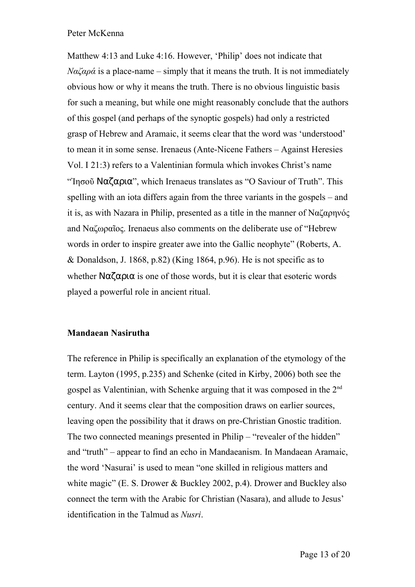Matthew 4:13 and Luke 4:16. However, 'Philip' does not indicate that  $N\alpha\zeta\alpha\rho\alpha$  is a place-name – simply that it means the truth. It is not immediately obvious how or why it means the truth. There is no obvious linguistic basis for such a meaning, but while one might reasonably conclude that the authors of this gospel (and perhaps of the synoptic gospels) had only a restricted grasp of Hebrew and Aramaic, it seems clear that the word was 'understood' to mean it in some sense. Irenaeus (Ante-Nicene Fathers – Against Heresies Vol. I 21:3) refers to a Valentinian formula which invokes Christ's name "Iησοῦ Ναζαρια", which Irenaeus translates as "O Saviour of Truth". This spelling with an iota differs again from the three variants in the gospels – and it is, as with Nazara in Philip, presented as a title in the manner of Ναζαρηνός and Ναζωραῖος. Irenaeus also comments on the deliberate use of "Hebrew words in order to inspire greater awe into the Gallic neophyte" (Roberts, A. & Donaldson, J. 1868, p.82) (King 1864, p.96). He is not specific as to whether  $N\alpha\zeta\alpha$  or all those words, but it is clear that esoteric words played a powerful role in ancient ritual.

## **Mandaean Nasirutha**

The reference in Philip is specifically an explanation of the etymology of the term. Layton (1995, p.235) and Schenke (cited in Kirby, 2006) both see the gospel as Valentinian, with Schenke arguing that it was composed in the 2nd century. And it seems clear that the composition draws on earlier sources, leaving open the possibility that it draws on pre-Christian Gnostic tradition. The two connected meanings presented in Philip – "revealer of the hidden" and "truth" – appear to find an echo in Mandaeanism. In Mandaean Aramaic, the word 'Nasurai' is used to mean "one skilled in religious matters and white magic" (E. S. Drower & Buckley 2002, p.4). Drower and Buckley also connect the term with the Arabic for Christian (Nasara), and allude to Jesus' identification in the Talmud as *Nusri*.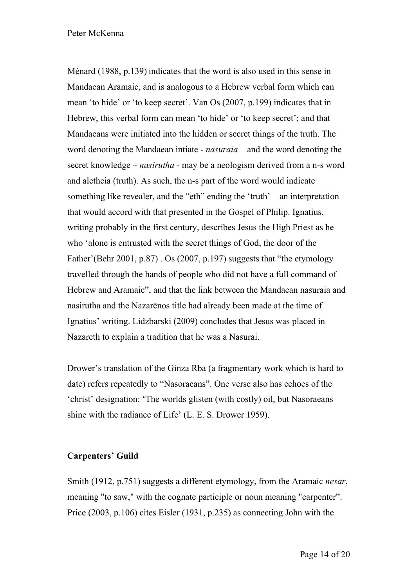Ménard (1988, p.139) indicates that the word is also used in this sense in Mandaean Aramaic, and is analogous to a Hebrew verbal form which can mean 'to hide' or 'to keep secret'. Van Os (2007, p.199) indicates that in Hebrew, this verbal form can mean 'to hide' or 'to keep secret'; and that Mandaeans were initiated into the hidden or secret things of the truth. The word denoting the Mandaean intiate - *nasuraia* – and the word denoting the secret knowledge – *nasirutha* - may be a neologism derived from a n-s word and aletheia (truth). As such, the n-s part of the word would indicate something like revealer, and the "eth" ending the 'truth' – an interpretation that would accord with that presented in the Gospel of Philip. Ignatius, writing probably in the first century, describes Jesus the High Priest as he who 'alone is entrusted with the secret things of God, the door of the Father'(Behr 2001, p.87) . Os (2007, p.197) suggests that "the etymology travelled through the hands of people who did not have a full command of Hebrew and Aramaic", and that the link between the Mandaean nasuraia and nasirutha and the Nazarēnos title had already been made at the time of Ignatius' writing. Lidzbarski (2009) concludes that Jesus was placed in Nazareth to explain a tradition that he was a Nasurai.

Drower's translation of the Ginza Rba (a fragmentary work which is hard to date) refers repeatedly to "Nasoraeans". One verse also has echoes of the 'christ' designation: 'The worlds glisten (with costly) oil, but Nasoraeans shine with the radiance of Life' (L. E. S. Drower 1959).

## **Carpenters' Guild**

Smith (1912, p.751) suggests a different etymology, from the Aramaic *nesar*, meaning "to saw," with the cognate participle or noun meaning "carpenter". Price (2003, p.106) cites Eisler (1931, p.235) as connecting John with the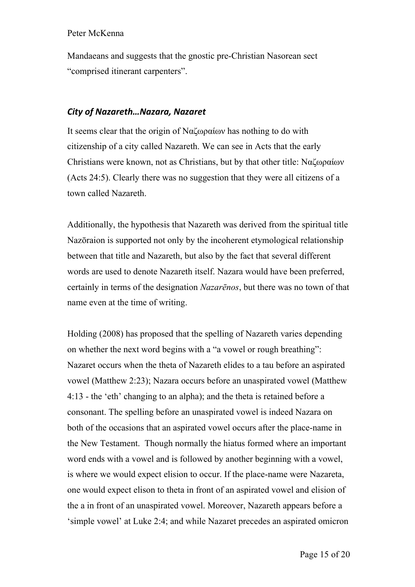Mandaeans and suggests that the gnostic pre-Christian Nasorean sect "comprised itinerant carpenters".

## *City of Nazareth…Nazara, Nazaret*

It seems clear that the origin of Ναζωραίων has nothing to do with citizenship of a city called Nazareth. We can see in Acts that the early Christians were known, not as Christians, but by that other title: Ναζωραίων (Acts 24:5). Clearly there was no suggestion that they were all citizens of a town called Nazareth.

Additionally, the hypothesis that Nazareth was derived from the spiritual title Nazōraion is supported not only by the incoherent etymological relationship between that title and Nazareth, but also by the fact that several different words are used to denote Nazareth itself. Nazara would have been preferred, certainly in terms of the designation *Nazarēnos*, but there was no town of that name even at the time of writing.

Holding (2008) has proposed that the spelling of Nazareth varies depending on whether the next word begins with a "a vowel or rough breathing": Nazaret occurs when the theta of Nazareth elides to a tau before an aspirated vowel (Matthew 2:23); Nazara occurs before an unaspirated vowel (Matthew 4:13 - the 'eth' changing to an alpha); and the theta is retained before a consonant. The spelling before an unaspirated vowel is indeed Nazara on both of the occasions that an aspirated vowel occurs after the place-name in the New Testament. Though normally the hiatus formed where an important word ends with a vowel and is followed by another beginning with a vowel, is where we would expect elision to occur. If the place-name were Nazareta, one would expect elison to theta in front of an aspirated vowel and elision of the a in front of an unaspirated vowel. Moreover, Nazareth appears before a 'simple vowel' at Luke 2:4; and while Nazaret precedes an aspirated omicron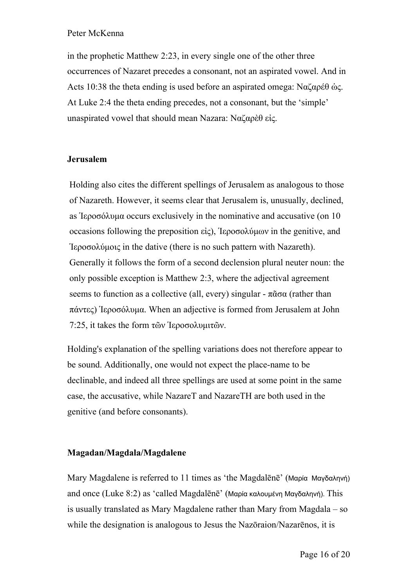in the prophetic Matthew 2:23, in every single one of the other three occurrences of Nazaret precedes a consonant, not an aspirated vowel. And in Acts 10:38 the theta ending is used before an aspirated omega: Ναζαρέθ ὡς. At Luke 2:4 the theta ending precedes, not a consonant, but the 'simple' unaspirated vowel that should mean Nazara: Ναζαρὲθ εἰς.

## **Jerusalem**

Holding also cites the different spellings of Jerusalem as analogous to those of Nazareth. However, it seems clear that Jerusalem is, unusually, declined, as Ἱεροσόλυμα occurs exclusively in the nominative and accusative (on 10 occasions following the preposition εἰς), Ἱεροσολύμων in the genitive, and Ἱεροσολύμοις in the dative (there is no such pattern with Nazareth). Generally it follows the form of a second declension plural neuter noun: the only possible exception is Matthew 2:3, where the adjectival agreement seems to function as a collective (all, every) singular -  $\pi \tilde{\alpha} \sigma \alpha$  (rather than πάντες) Ἱεροσόλυμα. When an adjective is formed from Jerusalem at John 7:25, it takes the form τῶν Ἱεροσολυμιτῶν.

Holding's explanation of the spelling variations does not therefore appear to be sound. Additionally, one would not expect the place-name to be declinable, and indeed all three spellings are used at some point in the same case, the accusative, while NazareT and NazareTH are both used in the genitive (and before consonants).

#### **Magadan/Magdala/Magdalene**

Mary Magdalene is referred to 11 times as 'the Magdalēnē' (Μαρία Μαγδαληνή) and once (Luke 8:2) as 'called Magdalēnē' (Μαρία καλουμένη Μαγδαληνή). This is usually translated as Mary Magdalene rather than Mary from Magdala – so while the designation is analogous to Jesus the Nazōraion/Nazarēnos, it is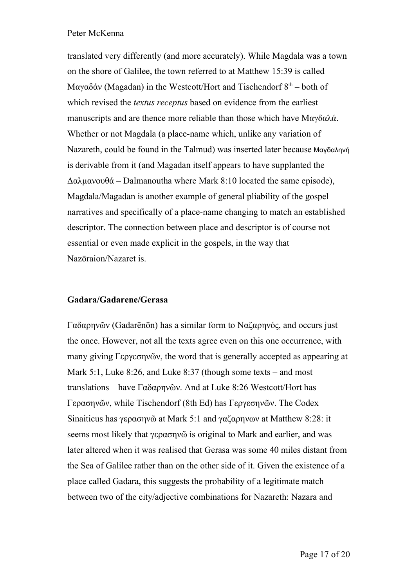translated very differently (and more accurately). While Magdala was a town on the shore of Galilee, the town referred to at Matthew 15:39 is called Mαγαδάν (Magadan) in the Westcott/Hort and Tischendorf  $8<sup>th</sup>$  – both of which revised the *textus receptus* based on evidence from the earliest manuscripts and are thence more reliable than those which have Μαγδαλά. Whether or not Magdala (a place-name which, unlike any variation of Nazareth, could be found in the Talmud) was inserted later because Μαγδαληνή is derivable from it (and Magadan itself appears to have supplanted the Δαλμανουθά – Dalmanoutha where Mark 8:10 located the same episode), Magdala/Magadan is another example of general pliability of the gospel narratives and specifically of a place-name changing to match an established descriptor. The connection between place and descriptor is of course not essential or even made explicit in the gospels, in the way that Nazōraion/Nazaret is.

#### **Gadara/Gadarene/Gerasa**

Γαδαρηνῶν (Gadarēnōn) has a similar form to Ναζαρηνός, and occurs just the once. However, not all the texts agree even on this one occurrence, with many giving Γεργεσηνῶν, the word that is generally accepted as appearing at Mark 5:1, Luke 8:26, and Luke 8:37 (though some texts – and most translations – have Γαδαρηνῶν. And at Luke 8:26 Westcott/Hort has Γερασηνῶν, while Tischendorf (8th Ed) has Γεργεσηνῶν. The Codex Sinaiticus has γερασηνῶ at Mark 5:1 and γαζαρηνων at Matthew 8:28: it seems most likely that γερασηνῶ is original to Mark and earlier, and was later altered when it was realised that Gerasa was some 40 miles distant from the Sea of Galilee rather than on the other side of it. Given the existence of a place called Gadara, this suggests the probability of a legitimate match between two of the city/adjective combinations for Nazareth: Nazara and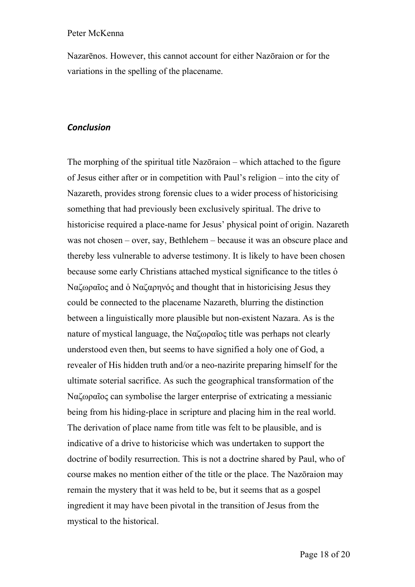Nazarēnos. However, this cannot account for either Nazōraion or for the variations in the spelling of the placename.

#### *Conclusion*

The morphing of the spiritual title Nazōraion – which attached to the figure of Jesus either after or in competition with Paul's religion – into the city of Nazareth, provides strong forensic clues to a wider process of historicising something that had previously been exclusively spiritual. The drive to historicise required a place-name for Jesus' physical point of origin. Nazareth was not chosen – over, say, Bethlehem – because it was an obscure place and thereby less vulnerable to adverse testimony. It is likely to have been chosen because some early Christians attached mystical significance to the titles ὁ Ναζωραῖος and ὁ Ναζαρηνός and thought that in historicising Jesus they could be connected to the placename Nazareth, blurring the distinction between a linguistically more plausible but non-existent Nazara. As is the nature of mystical language, the Ναζωραῖος title was perhaps not clearly understood even then, but seems to have signified a holy one of God, a revealer of His hidden truth and/or a neo-nazirite preparing himself for the ultimate soterial sacrifice. As such the geographical transformation of the Ναζωραῖος can symbolise the larger enterprise of extricating a messianic being from his hiding-place in scripture and placing him in the real world. The derivation of place name from title was felt to be plausible, and is indicative of a drive to historicise which was undertaken to support the doctrine of bodily resurrection. This is not a doctrine shared by Paul, who of course makes no mention either of the title or the place. The Nazōraion may remain the mystery that it was held to be, but it seems that as a gospel ingredient it may have been pivotal in the transition of Jesus from the mystical to the historical.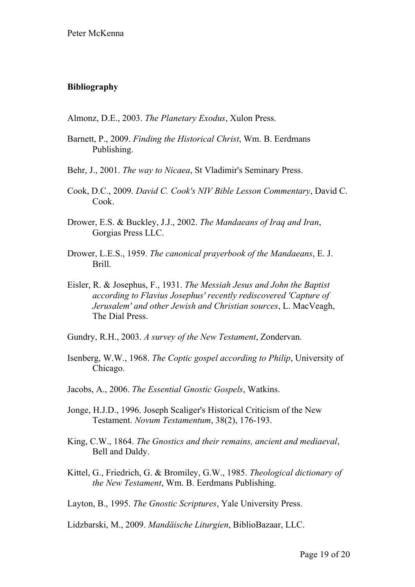## **Bibliography**

Almonz, D.E., 2003. *The Planetary Exodus*, Xulon Press.

- Barnett, P., 2009. *Finding the Historical Christ*, Wm. B. Eerdmans Publishing.
- Behr, J., 2001. *The way to Nicaea*, St Vladimir's Seminary Press.
- Cook, D.C., 2009. *David C. Cook's NIV Bible Lesson Commentary*, David C. Cook.
- Drower, E.S. & Buckley, J.J., 2002. *The Mandaeans of Iraq and Iran*, Gorgias Press LLC.
- Drower, L.E.S., 1959. *The canonical prayerbook of the Mandaeans*, E. J. Brill.
- Eisler, R. & Josephus, F., 1931. *The Messiah Jesus and John the Baptist according to Flavius Josephus' recently rediscovered 'Capture of Jerusalem' and other Jewish and Christian sources*, L. MacVeagh, The Dial Press.
- Gundry, R.H., 2003. *A survey of the New Testament*, Zondervan.
- Isenberg, W.W., 1968. *The Coptic gospel according to Philip*, University of Chicago.
- Jacobs, A., 2006. *The Essential Gnostic Gospels*, Watkins.
- Jonge, H.J.D., 1996. Joseph Scaliger's Historical Criticism of the New Testament. *Novum Testamentum*, 38(2), 176-193.
- King, C.W., 1864. *The Gnostics and their remains, ancient and mediaeval*, Bell and Daldy.
- Kittel, G., Friedrich, G. & Bromiley, G.W., 1985. *Theological dictionary of the New Testament*, Wm. B. Eerdmans Publishing.

Layton, B., 1995. *The Gnostic Scriptures*, Yale University Press.

Lidzbarski, M., 2009. *Mandäische Liturgien*, BiblioBazaar, LLC.